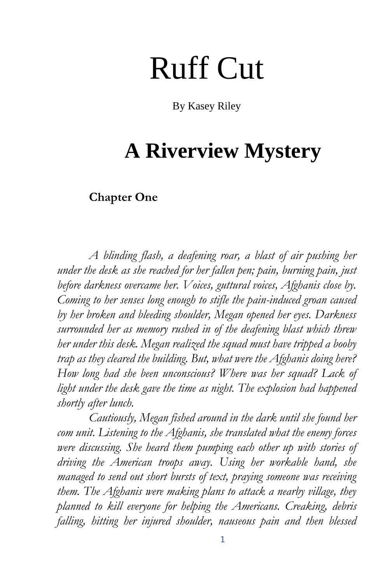## Ruff Cut

By Kasey Riley

## **A Riverview Mystery**

## **Chapter One**

*A blinding flash, a deafening roar, a blast of air pushing her under the desk as she reached for her fallen pen; pain, burning pain, just before darkness overcame her. Voices, guttural voices, Afghanis close by. Coming to her senses long enough to stifle the pain-induced groan caused by her broken and bleeding shoulder, Megan opened her eyes. Darkness surrounded her as memory rushed in of the deafening blast which threw her under this desk. Megan realized the squad must have tripped a booby trap as they cleared the building. But, what were the Afghanis doing here? How long had she been unconscious? Where was her squad? Lack of light under the desk gave the time as night. The explosion had happened shortly after lunch.*

*Cautiously, Megan fished around in the dark until she found her com unit. Listening to the Afghanis, she translated what the enemy forces were discussing. She heard them pumping each other up with stories of driving the American troops away. Using her workable hand, she managed to send out short bursts of text, praying someone was receiving them. The Afghanis were making plans to attack a nearby village, they planned to kill everyone for helping the Americans. Creaking, debris falling, hitting her injured shoulder, nauseous pain and then blessed*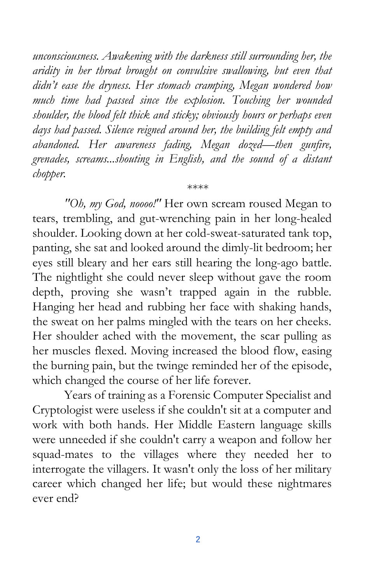*unconsciousness. Awakening with the darkness still surrounding her, the aridity in her throat brought on convulsive swallowing, but even that didn't ease the dryness. Her stomach cramping, Megan wondered how much time had passed since the explosion. Touching her wounded shoulder, the blood felt thick and sticky; obviously hours or perhaps even days had passed. Silence reigned around her, the building felt empty and abandoned. Her awareness fading, Megan dozed—then gunfire, grenades, screams...shouting in English, and the sound of a distant chopper.*

\*\*\*\*

*"Oh, my God, noooo!"* Her own scream roused Megan to tears, trembling, and gut-wrenching pain in her long-healed shoulder. Looking down at her cold-sweat-saturated tank top, panting, she sat and looked around the dimly-lit bedroom; her eyes still bleary and her ears still hearing the long-ago battle. The nightlight she could never sleep without gave the room depth, proving she wasn't trapped again in the rubble. Hanging her head and rubbing her face with shaking hands, the sweat on her palms mingled with the tears on her cheeks. Her shoulder ached with the movement, the scar pulling as her muscles flexed. Moving increased the blood flow, easing the burning pain, but the twinge reminded her of the episode, which changed the course of her life forever.

Years of training as a Forensic Computer Specialist and Cryptologist were useless if she couldn't sit at a computer and work with both hands. Her Middle Eastern language skills were unneeded if she couldn't carry a weapon and follow her squad-mates to the villages where they needed her to interrogate the villagers. It wasn't only the loss of her military career which changed her life; but would these nightmares ever end?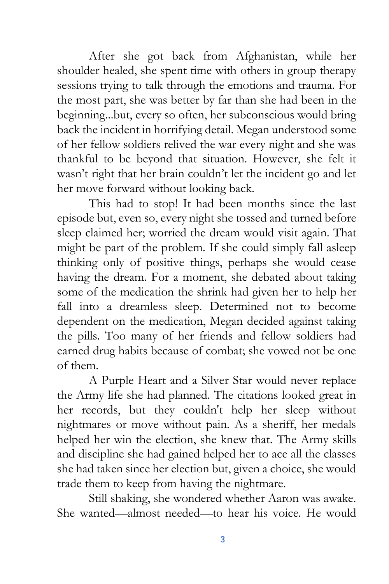After she got back from Afghanistan, while her shoulder healed, she spent time with others in group therapy sessions trying to talk through the emotions and trauma. For the most part, she was better by far than she had been in the beginning...but, every so often, her subconscious would bring back the incident in horrifying detail. Megan understood some of her fellow soldiers relived the war every night and she was thankful to be beyond that situation. However, she felt it wasn't right that her brain couldn't let the incident go and let her move forward without looking back.

This had to stop! It had been months since the last episode but, even so, every night she tossed and turned before sleep claimed her; worried the dream would visit again. That might be part of the problem. If she could simply fall asleep thinking only of positive things, perhaps she would cease having the dream. For a moment, she debated about taking some of the medication the shrink had given her to help her fall into a dreamless sleep. Determined not to become dependent on the medication, Megan decided against taking the pills. Too many of her friends and fellow soldiers had earned drug habits because of combat; she vowed not be one of them.

A Purple Heart and a Silver Star would never replace the Army life she had planned. The citations looked great in her records, but they couldn't help her sleep without nightmares or move without pain. As a sheriff, her medals helped her win the election, she knew that. The Army skills and discipline she had gained helped her to ace all the classes she had taken since her election but, given a choice, she would trade them to keep from having the nightmare.

Still shaking, she wondered whether Aaron was awake. She wanted—almost needed—to hear his voice. He would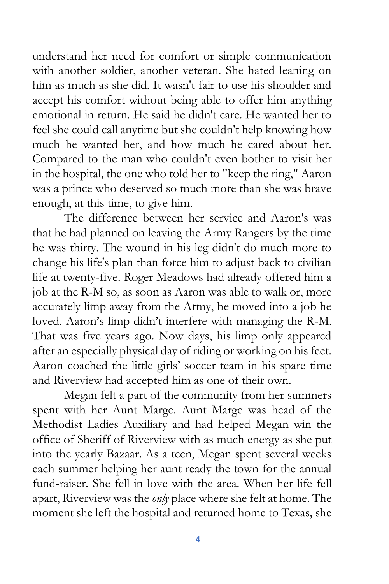understand her need for comfort or simple communication with another soldier, another veteran. She hated leaning on him as much as she did. It wasn't fair to use his shoulder and accept his comfort without being able to offer him anything emotional in return. He said he didn't care. He wanted her to feel she could call anytime but she couldn't help knowing how much he wanted her, and how much he cared about her. Compared to the man who couldn't even bother to visit her in the hospital, the one who told her to "keep the ring," Aaron was a prince who deserved so much more than she was brave enough, at this time, to give him.

The difference between her service and Aaron's was that he had planned on leaving the Army Rangers by the time he was thirty. The wound in his leg didn't do much more to change his life's plan than force him to adjust back to civilian life at twenty-five. Roger Meadows had already offered him a job at the R-M so, as soon as Aaron was able to walk or, more accurately limp away from the Army, he moved into a job he loved. Aaron's limp didn't interfere with managing the R-M. That was five years ago. Now days, his limp only appeared after an especially physical day of riding or working on his feet. Aaron coached the little girls' soccer team in his spare time and Riverview had accepted him as one of their own.

Megan felt a part of the community from her summers spent with her Aunt Marge. Aunt Marge was head of the Methodist Ladies Auxiliary and had helped Megan win the office of Sheriff of Riverview with as much energy as she put into the yearly Bazaar. As a teen, Megan spent several weeks each summer helping her aunt ready the town for the annual fund-raiser. She fell in love with the area. When her life fell apart, Riverview was the *only* place where she felt at home. The moment she left the hospital and returned home to Texas, she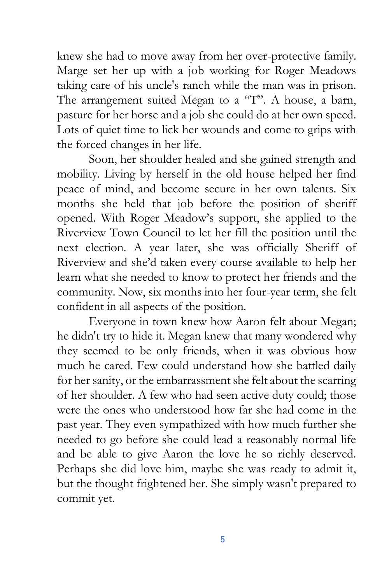knew she had to move away from her over-protective family. Marge set her up with a job working for Roger Meadows taking care of his uncle's ranch while the man was in prison. The arrangement suited Megan to a "T". A house, a barn, pasture for her horse and a job she could do at her own speed. Lots of quiet time to lick her wounds and come to grips with the forced changes in her life.

Soon, her shoulder healed and she gained strength and mobility. Living by herself in the old house helped her find peace of mind, and become secure in her own talents. Six months she held that job before the position of sheriff opened. With Roger Meadow's support, she applied to the Riverview Town Council to let her fill the position until the next election. A year later, she was officially Sheriff of Riverview and she'd taken every course available to help her learn what she needed to know to protect her friends and the community. Now, six months into her four-year term, she felt confident in all aspects of the position.

Everyone in town knew how Aaron felt about Megan; he didn't try to hide it. Megan knew that many wondered why they seemed to be only friends, when it was obvious how much he cared. Few could understand how she battled daily for her sanity, or the embarrassment she felt about the scarring of her shoulder. A few who had seen active duty could; those were the ones who understood how far she had come in the past year. They even sympathized with how much further she needed to go before she could lead a reasonably normal life and be able to give Aaron the love he so richly deserved. Perhaps she did love him, maybe she was ready to admit it, but the thought frightened her. She simply wasn't prepared to commit yet.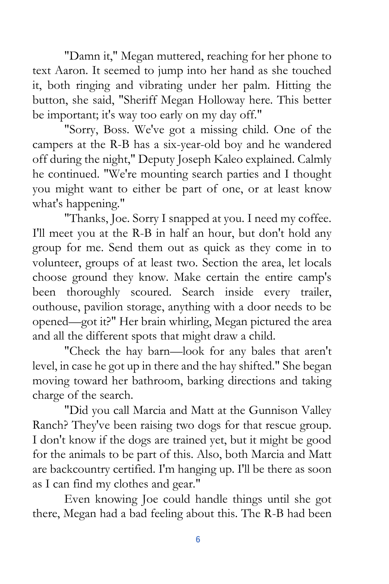"Damn it," Megan muttered, reaching for her phone to text Aaron. It seemed to jump into her hand as she touched it, both ringing and vibrating under her palm. Hitting the button, she said, "Sheriff Megan Holloway here. This better be important; it's way too early on my day off."

"Sorry, Boss. We've got a missing child. One of the campers at the R-B has a six-year-old boy and he wandered off during the night," Deputy Joseph Kaleo explained. Calmly he continued. "We're mounting search parties and I thought you might want to either be part of one, or at least know what's happening."

"Thanks, Joe. Sorry I snapped at you. I need my coffee. I'll meet you at the R-B in half an hour, but don't hold any group for me. Send them out as quick as they come in to volunteer, groups of at least two. Section the area, let locals choose ground they know. Make certain the entire camp's been thoroughly scoured. Search inside every trailer, outhouse, pavilion storage, anything with a door needs to be opened—got it?" Her brain whirling, Megan pictured the area and all the different spots that might draw a child.

"Check the hay barn—look for any bales that aren't level, in case he got up in there and the hay shifted." She began moving toward her bathroom, barking directions and taking charge of the search.

"Did you call Marcia and Matt at the Gunnison Valley Ranch? They've been raising two dogs for that rescue group. I don't know if the dogs are trained yet, but it might be good for the animals to be part of this. Also, both Marcia and Matt are backcountry certified. I'm hanging up. I'll be there as soon as I can find my clothes and gear."

Even knowing Joe could handle things until she got there, Megan had a bad feeling about this. The R-B had been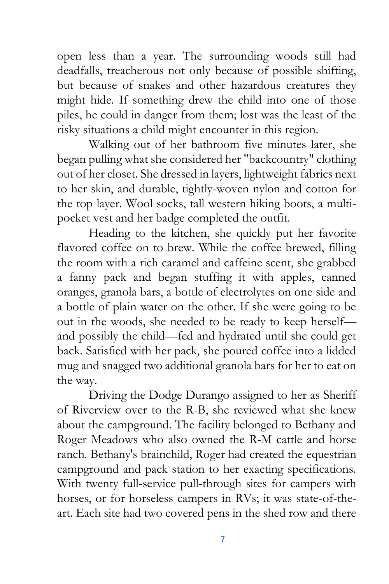open less than a year. The surrounding woods still had deadfalls, treacherous not only because of possible shifting, but because of snakes and other hazardous creatures they might hide. If something drew the child into one of those piles, he could in danger from them; lost was the least of the risky situations a child might encounter in this region.

Walking out of her bathroom five minutes later, she began pulling what she considered her "backcountry" clothing out of her closet. She dressed in layers, lightweight fabrics next to her skin, and durable, tightly-woven nylon and cotton for the top layer. Wool socks, tall western hiking boots, a multipocket vest and her badge completed the outfit.

Heading to the kitchen, she quickly put her favorite flavored coffee on to brew. While the coffee brewed, filling the room with a rich caramel and caffeine scent, she grabbed a fanny pack and began stuffing it with apples, canned oranges, granola bars, a bottle of electrolytes on one side and a bottle of plain water on the other. If she were going to be out in the woods, she needed to be ready to keep herself and possibly the child—fed and hydrated until she could get back. Satisfied with her pack, she poured coffee into a lidded mug and snagged two additional granola bars for her to eat on the way.

Driving the Dodge Durango assigned to her as Sheriff of Riverview over to the R-B, she reviewed what she knew about the campground. The facility belonged to Bethany and Roger Meadows who also owned the R-M cattle and horse ranch. Bethany's brainchild, Roger had created the equestrian campground and pack station to her exacting specifications. With twenty full-service pull-through sites for campers with horses, or for horseless campers in RVs; it was state-of-theart. Each site had two covered pens in the shed row and there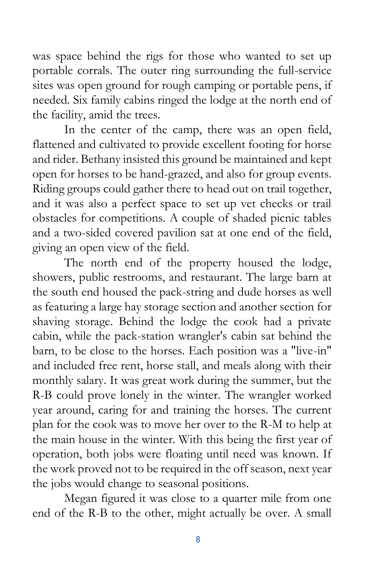was space behind the rigs for those who wanted to set up portable corrals. The outer ring surrounding the full-service sites was open ground for rough camping or portable pens, if needed. Six family cabins ringed the lodge at the north end of the facility, amid the trees.

In the center of the camp, there was an open field, flattened and cultivated to provide excellent footing for horse and rider. Bethany insisted this ground be maintained and kept open for horses to be hand-grazed, and also for group events. Riding groups could gather there to head out on trail together, and it was also a perfect space to set up vet checks or trail obstacles for competitions. A couple of shaded picnic tables and a two-sided covered pavilion sat at one end of the field, giving an open view of the field.

The north end of the property housed the lodge, showers, public restrooms, and restaurant. The large barn at the south end housed the pack-string and dude horses as well as featuring a large hay storage section and another section for shaving storage. Behind the lodge the cook had a private cabin, while the pack-station wrangler's cabin sat behind the barn, to be close to the horses. Each position was a "live-in" and included free rent, horse stall, and meals along with their monthly salary. It was great work during the summer, but the R-B could prove lonely in the winter. The wrangler worked year around, caring for and training the horses. The current plan for the cook was to move her over to the R-M to help at the main house in the winter. With this being the first year of operation, both jobs were floating until need was known. If the work proved not to be required in the off season, next year the jobs would change to seasonal positions.

Megan figured it was close to a quarter mile from one end of the R-B to the other, might actually be over. A small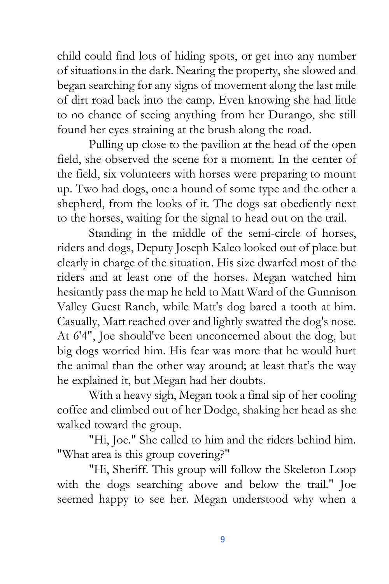child could find lots of hiding spots, or get into any number of situations in the dark. Nearing the property, she slowed and began searching for any signs of movement along the last mile of dirt road back into the camp. Even knowing she had little to no chance of seeing anything from her Durango, she still found her eyes straining at the brush along the road.

Pulling up close to the pavilion at the head of the open field, she observed the scene for a moment. In the center of the field, six volunteers with horses were preparing to mount up. Two had dogs, one a hound of some type and the other a shepherd, from the looks of it. The dogs sat obediently next to the horses, waiting for the signal to head out on the trail.

Standing in the middle of the semi-circle of horses, riders and dogs, Deputy Joseph Kaleo looked out of place but clearly in charge of the situation. His size dwarfed most of the riders and at least one of the horses. Megan watched him hesitantly pass the map he held to Matt Ward of the Gunnison Valley Guest Ranch, while Matt's dog bared a tooth at him. Casually, Matt reached over and lightly swatted the dog's nose. At 6'4", Joe should've been unconcerned about the dog, but big dogs worried him. His fear was more that he would hurt the animal than the other way around; at least that's the way he explained it, but Megan had her doubts.

With a heavy sigh, Megan took a final sip of her cooling coffee and climbed out of her Dodge, shaking her head as she walked toward the group.

"Hi, Joe." She called to him and the riders behind him. "What area is this group covering?"

"Hi, Sheriff. This group will follow the Skeleton Loop with the dogs searching above and below the trail." Joe seemed happy to see her. Megan understood why when a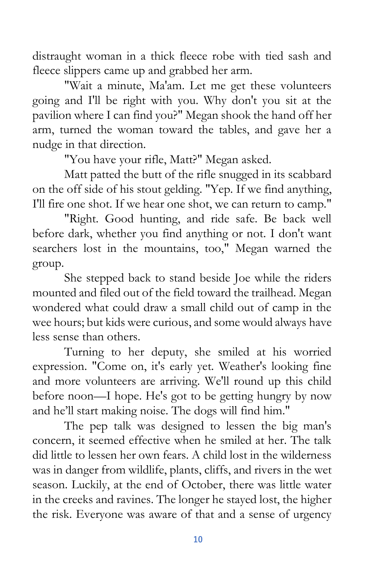distraught woman in a thick fleece robe with tied sash and fleece slippers came up and grabbed her arm.

"Wait a minute, Ma'am. Let me get these volunteers going and I'll be right with you. Why don't you sit at the pavilion where I can find you?" Megan shook the hand off her arm, turned the woman toward the tables, and gave her a nudge in that direction.

"You have your rifle, Matt?" Megan asked.

Matt patted the butt of the rifle snugged in its scabbard on the off side of his stout gelding. "Yep. If we find anything, I'll fire one shot. If we hear one shot, we can return to camp."

"Right. Good hunting, and ride safe. Be back well before dark, whether you find anything or not. I don't want searchers lost in the mountains, too," Megan warned the group.

She stepped back to stand beside Joe while the riders mounted and filed out of the field toward the trailhead. Megan wondered what could draw a small child out of camp in the wee hours; but kids were curious, and some would always have less sense than others.

Turning to her deputy, she smiled at his worried expression. "Come on, it's early yet. Weather's looking fine and more volunteers are arriving. We'll round up this child before noon—I hope. He's got to be getting hungry by now and he'll start making noise. The dogs will find him."

The pep talk was designed to lessen the big man's concern, it seemed effective when he smiled at her. The talk did little to lessen her own fears. A child lost in the wilderness was in danger from wildlife, plants, cliffs, and rivers in the wet season. Luckily, at the end of October, there was little water in the creeks and ravines. The longer he stayed lost, the higher the risk. Everyone was aware of that and a sense of urgency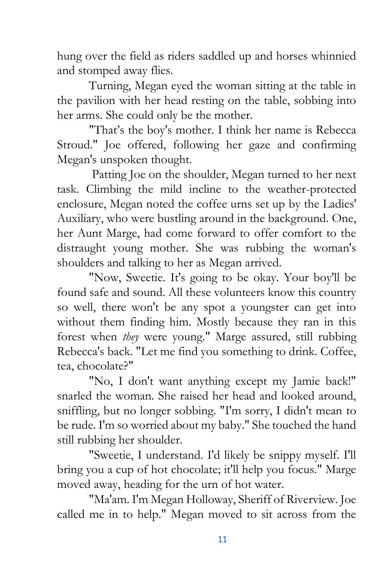hung over the field as riders saddled up and horses whinnied and stomped away flies.

Turning, Megan eyed the woman sitting at the table in the pavilion with her head resting on the table, sobbing into her arms. She could only be the mother.

"That's the boy's mother. I think her name is Rebecca Stroud." Joe offered, following her gaze and confirming Megan's unspoken thought.

Patting Joe on the shoulder, Megan turned to her next task. Climbing the mild incline to the weather-protected enclosure, Megan noted the coffee urns set up by the Ladies' Auxiliary, who were bustling around in the background. One, her Aunt Marge, had come forward to offer comfort to the distraught young mother. She was rubbing the woman's shoulders and talking to her as Megan arrived.

"Now, Sweetie. It's going to be okay. Your boy'll be found safe and sound. All these volunteers know this country so well, there won't be any spot a youngster can get into without them finding him. Mostly because they ran in this forest when *they* were young." Marge assured, still rubbing Rebecca's back. "Let me find you something to drink. Coffee, tea, chocolate?"

"No, I don't want anything except my Jamie back!" snarled the woman. She raised her head and looked around, sniffling, but no longer sobbing. "I'm sorry, I didn't mean to be rude. I'm so worried about my baby." She touched the hand still rubbing her shoulder.

"Sweetie, I understand. I'd likely be snippy myself. I'll bring you a cup of hot chocolate; it'll help you focus." Marge moved away, heading for the urn of hot water.

"Ma'am. I'm Megan Holloway, Sheriff of Riverview. Joe called me in to help." Megan moved to sit across from the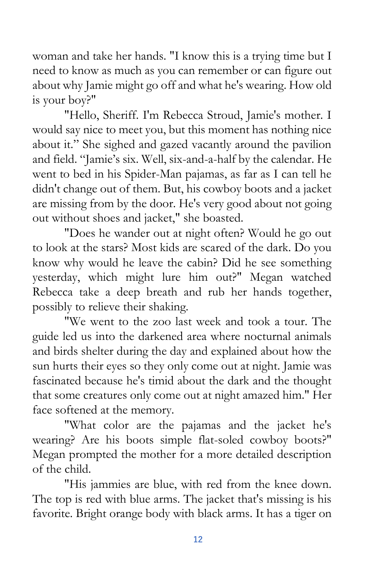woman and take her hands. "I know this is a trying time but I need to know as much as you can remember or can figure out about why Jamie might go off and what he's wearing. How old is your boy?"

"Hello, Sheriff. I'm Rebecca Stroud, Jamie's mother. I would say nice to meet you, but this moment has nothing nice about it." She sighed and gazed vacantly around the pavilion and field. "Jamie's six. Well, six-and-a-half by the calendar. He went to bed in his Spider-Man pajamas, as far as I can tell he didn't change out of them. But, his cowboy boots and a jacket are missing from by the door. He's very good about not going out without shoes and jacket," she boasted.

"Does he wander out at night often? Would he go out to look at the stars? Most kids are scared of the dark. Do you know why would he leave the cabin? Did he see something yesterday, which might lure him out?" Megan watched Rebecca take a deep breath and rub her hands together, possibly to relieve their shaking.

"We went to the zoo last week and took a tour. The guide led us into the darkened area where nocturnal animals and birds shelter during the day and explained about how the sun hurts their eyes so they only come out at night. Jamie was fascinated because he's timid about the dark and the thought that some creatures only come out at night amazed him." Her face softened at the memory.

"What color are the pajamas and the jacket he's wearing? Are his boots simple flat-soled cowboy boots?" Megan prompted the mother for a more detailed description of the child.

"His jammies are blue, with red from the knee down. The top is red with blue arms. The jacket that's missing is his favorite. Bright orange body with black arms. It has a tiger on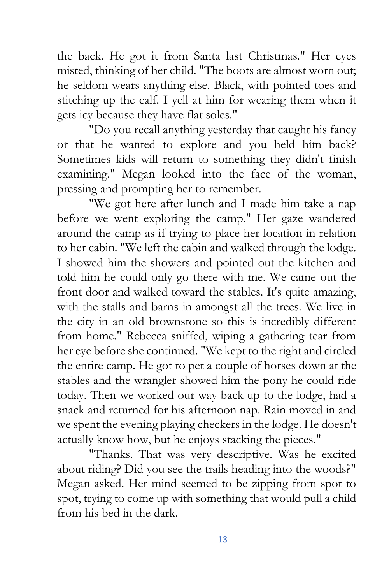the back. He got it from Santa last Christmas." Her eyes misted, thinking of her child. "The boots are almost worn out; he seldom wears anything else. Black, with pointed toes and stitching up the calf. I yell at him for wearing them when it gets icy because they have flat soles."

"Do you recall anything yesterday that caught his fancy or that he wanted to explore and you held him back? Sometimes kids will return to something they didn't finish examining." Megan looked into the face of the woman, pressing and prompting her to remember.

"We got here after lunch and I made him take a nap before we went exploring the camp." Her gaze wandered around the camp as if trying to place her location in relation to her cabin. "We left the cabin and walked through the lodge. I showed him the showers and pointed out the kitchen and told him he could only go there with me. We came out the front door and walked toward the stables. It's quite amazing, with the stalls and barns in amongst all the trees. We live in the city in an old brownstone so this is incredibly different from home." Rebecca sniffed, wiping a gathering tear from her eye before she continued. "We kept to the right and circled the entire camp. He got to pet a couple of horses down at the stables and the wrangler showed him the pony he could ride today. Then we worked our way back up to the lodge, had a snack and returned for his afternoon nap. Rain moved in and we spent the evening playing checkers in the lodge. He doesn't actually know how, but he enjoys stacking the pieces."

"Thanks. That was very descriptive. Was he excited about riding? Did you see the trails heading into the woods?" Megan asked. Her mind seemed to be zipping from spot to spot, trying to come up with something that would pull a child from his bed in the dark.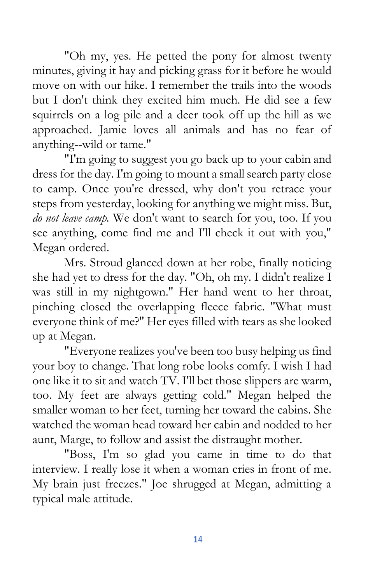"Oh my, yes. He petted the pony for almost twenty minutes, giving it hay and picking grass for it before he would move on with our hike. I remember the trails into the woods but I don't think they excited him much. He did see a few squirrels on a log pile and a deer took off up the hill as we approached. Jamie loves all animals and has no fear of anything--wild or tame."

"I'm going to suggest you go back up to your cabin and dress for the day. I'm going to mount a small search party close to camp. Once you're dressed, why don't you retrace your steps from yesterday, looking for anything we might miss. But, *do not leave camp.* We don't want to search for you, too. If you see anything, come find me and I'll check it out with you," Megan ordered.

Mrs. Stroud glanced down at her robe, finally noticing she had yet to dress for the day. "Oh, oh my. I didn't realize I was still in my nightgown." Her hand went to her throat, pinching closed the overlapping fleece fabric. "What must everyone think of me?" Her eyes filled with tears as she looked up at Megan.

"Everyone realizes you've been too busy helping us find your boy to change. That long robe looks comfy. I wish I had one like it to sit and watch TV. I'll bet those slippers are warm, too. My feet are always getting cold." Megan helped the smaller woman to her feet, turning her toward the cabins. She watched the woman head toward her cabin and nodded to her aunt, Marge, to follow and assist the distraught mother.

"Boss, I'm so glad you came in time to do that interview. I really lose it when a woman cries in front of me. My brain just freezes." Joe shrugged at Megan, admitting a typical male attitude.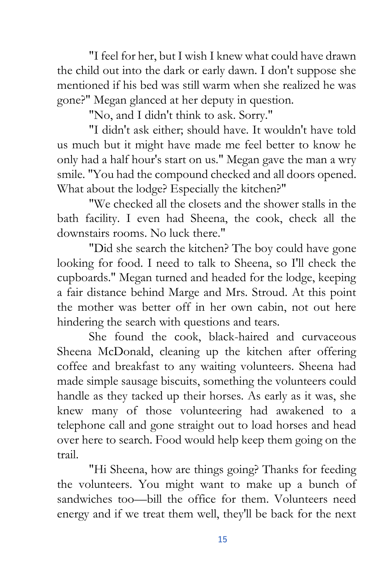"I feel for her, but I wish I knew what could have drawn the child out into the dark or early dawn. I don't suppose she mentioned if his bed was still warm when she realized he was gone?" Megan glanced at her deputy in question.

"No, and I didn't think to ask. Sorry."

"I didn't ask either; should have. It wouldn't have told us much but it might have made me feel better to know he only had a half hour's start on us." Megan gave the man a wry smile. "You had the compound checked and all doors opened. What about the lodge? Especially the kitchen?"

"We checked all the closets and the shower stalls in the bath facility. I even had Sheena, the cook, check all the downstairs rooms. No luck there."

"Did she search the kitchen? The boy could have gone looking for food. I need to talk to Sheena, so I'll check the cupboards." Megan turned and headed for the lodge, keeping a fair distance behind Marge and Mrs. Stroud. At this point the mother was better off in her own cabin, not out here hindering the search with questions and tears.

She found the cook, black-haired and curvaceous Sheena McDonald, cleaning up the kitchen after offering coffee and breakfast to any waiting volunteers. Sheena had made simple sausage biscuits, something the volunteers could handle as they tacked up their horses. As early as it was, she knew many of those volunteering had awakened to a telephone call and gone straight out to load horses and head over here to search. Food would help keep them going on the trail.

"Hi Sheena, how are things going? Thanks for feeding the volunteers. You might want to make up a bunch of sandwiches too—bill the office for them. Volunteers need energy and if we treat them well, they'll be back for the next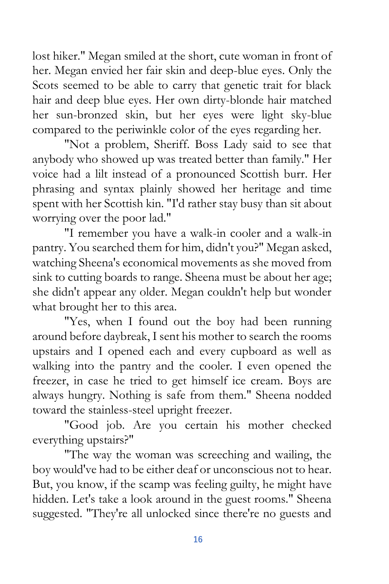lost hiker." Megan smiled at the short, cute woman in front of her. Megan envied her fair skin and deep-blue eyes. Only the Scots seemed to be able to carry that genetic trait for black hair and deep blue eyes. Her own dirty-blonde hair matched her sun-bronzed skin, but her eyes were light sky-blue compared to the periwinkle color of the eyes regarding her.

"Not a problem, Sheriff. Boss Lady said to see that anybody who showed up was treated better than family." Her voice had a lilt instead of a pronounced Scottish burr. Her phrasing and syntax plainly showed her heritage and time spent with her Scottish kin. "I'd rather stay busy than sit about worrying over the poor lad."

"I remember you have a walk-in cooler and a walk-in pantry. You searched them for him, didn't you?" Megan asked, watching Sheena's economical movements as she moved from sink to cutting boards to range. Sheena must be about her age; she didn't appear any older. Megan couldn't help but wonder what brought her to this area.

"Yes, when I found out the boy had been running around before daybreak, I sent his mother to search the rooms upstairs and I opened each and every cupboard as well as walking into the pantry and the cooler. I even opened the freezer, in case he tried to get himself ice cream. Boys are always hungry. Nothing is safe from them." Sheena nodded toward the stainless-steel upright freezer.

"Good job. Are you certain his mother checked everything upstairs?"

"The way the woman was screeching and wailing, the boy would've had to be either deaf or unconscious not to hear. But, you know, if the scamp was feeling guilty, he might have hidden. Let's take a look around in the guest rooms." Sheena suggested. "They're all unlocked since there're no guests and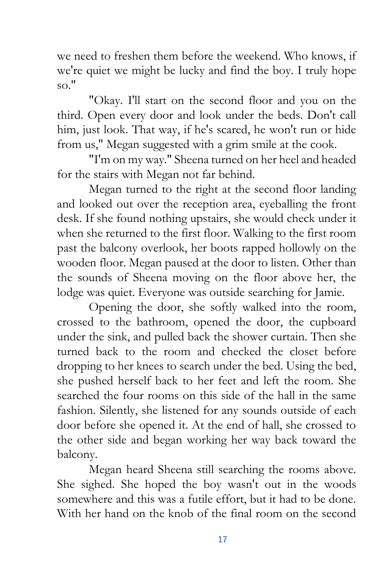we need to freshen them before the weekend. Who knows, if we're quiet we might be lucky and find the boy. I truly hope so."

"Okay. I'll start on the second floor and you on the third. Open every door and look under the beds. Don't call him, just look. That way, if he's scared, he won't run or hide from us," Megan suggested with a grim smile at the cook.

"I'm on my way." Sheena turned on her heel and headed for the stairs with Megan not far behind.

Megan turned to the right at the second floor landing and looked out over the reception area, eyeballing the front desk. If she found nothing upstairs, she would check under it when she returned to the first floor. Walking to the first room past the balcony overlook, her boots rapped hollowly on the wooden floor. Megan paused at the door to listen. Other than the sounds of Sheena moving on the floor above her, the lodge was quiet. Everyone was outside searching for Jamie.

Opening the door, she softly walked into the room, crossed to the bathroom, opened the door, the cupboard under the sink, and pulled back the shower curtain. Then she turned back to the room and checked the closet before dropping to her knees to search under the bed. Using the bed, she pushed herself back to her feet and left the room. She searched the four rooms on this side of the hall in the same fashion. Silently, she listened for any sounds outside of each door before she opened it. At the end of hall, she crossed to the other side and began working her way back toward the balcony.

Megan heard Sheena still searching the rooms above. She sighed. She hoped the boy wasn't out in the woods somewhere and this was a futile effort, but it had to be done. With her hand on the knob of the final room on the second